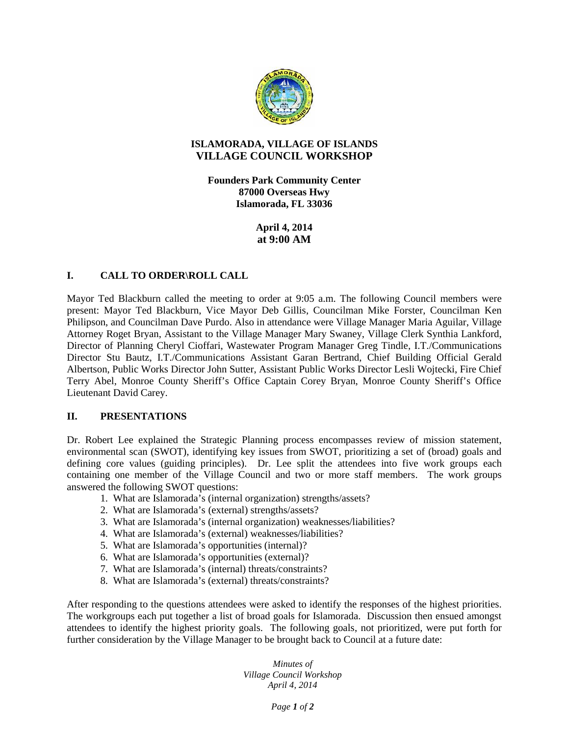

## **ISLAMORADA, VILLAGE OF ISLANDS VILLAGE COUNCIL WORKSHOP**

**Founders Park Community Center 87000 Overseas Hwy Islamorada, FL 33036**

> **April 4, 2014 at 9:00 AM**

## **I. CALL TO ORDER\ROLL CALL**

Mayor Ted Blackburn called the meeting to order at 9:05 a.m. The following Council members were present: Mayor Ted Blackburn, Vice Mayor Deb Gillis, Councilman Mike Forster, Councilman Ken Philipson, and Councilman Dave Purdo. Also in attendance were Village Manager Maria Aguilar, Village Attorney Roget Bryan, Assistant to the Village Manager Mary Swaney, Village Clerk Synthia Lankford, Director of Planning Cheryl Cioffari, Wastewater Program Manager Greg Tindle, I.T./Communications Director Stu Bautz, I.T./Communications Assistant Garan Bertrand, Chief Building Official Gerald Albertson, Public Works Director John Sutter, Assistant Public Works Director Lesli Wojtecki, Fire Chief Terry Abel, Monroe County Sheriff's Office Captain Corey Bryan, Monroe County Sheriff's Office Lieutenant David Carey.

## **II. PRESENTATIONS**

Dr. Robert Lee explained the Strategic Planning process encompasses review of mission statement, environmental scan (SWOT), identifying key issues from SWOT, prioritizing a set of (broad) goals and defining core values (guiding principles). Dr. Lee split the attendees into five work groups each containing one member of the Village Council and two or more staff members. The work groups answered the following SWOT questions:

- 1. What are Islamorada's (internal organization) strengths/assets?
- 2. What are Islamorada's (external) strengths/assets?
- 3. What are Islamorada's (internal organization) weaknesses/liabilities?
- 4. What are Islamorada's (external) weaknesses/liabilities?
- 5. What are Islamorada's opportunities (internal)?
- 6. What are Islamorada's opportunities (external)?
- 7. What are Islamorada's (internal) threats/constraints?
- 8. What are Islamorada's (external) threats/constraints?

After responding to the questions attendees were asked to identify the responses of the highest priorities. The workgroups each put together a list of broad goals for Islamorada. Discussion then ensued amongst attendees to identify the highest priority goals. The following goals, not prioritized, were put forth for further consideration by the Village Manager to be brought back to Council at a future date:

> *Minutes of Village Council Workshop April 4, 2014*

> > *Page 1 of 2*